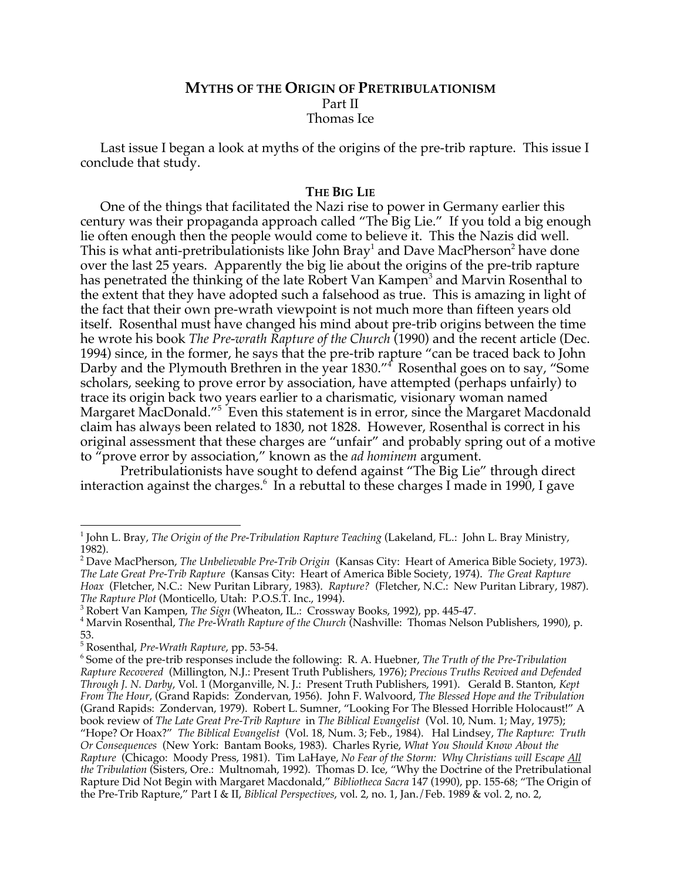# **MYTHS OF THE ORIGIN OF PRETRIBULATIONISM** Part II Thomas Ice

Last issue I began a look at myths of the origins of the pre-trib rapture. This issue I conclude that study.

### **THE BIG LIE**

One of the things that facilitated the Nazi rise to power in Germany earlier this century was their propaganda approach called "The Big Lie." If you told a big enough lie often enough then the people would come to believe it. This the Nazis did well. This is what anti-pretribulationists like John Bray $^{\scriptscriptstyle 1}$  and Dave MacPherson $^{\scriptscriptstyle 2}$  have done over the last 25 years. Apparently the big lie about the origins of the pre-trib rapture has penetrated the thinking of the late Robert Van Kampen<sup>3</sup> and Marvin Rosenthal to the extent that they have adopted such a falsehood as true. This is amazing in light of the fact that their own pre-wrath viewpoint is not much more than fifteen years old itself. Rosenthal must have changed his mind about pre-trib origins between the time he wrote his book *The Pre-wrath Rapture of the Church* (1990) and the recent article (Dec. 1994) since, in the former, he says that the pre-trib rapture "can be traced back to John Darby and the Plymouth Brethren in the year 1830."<sup>4</sup> Rosenthal goes on to say, "Some scholars, seeking to prove error by association, have attempted (perhaps unfairly) to trace its origin back two years earlier to a charismatic, visionary woman named Margaret MacDonald."<sup>5</sup> Even this statement is in error, since the Margaret Macdonald claim has always been related to 1830, not 1828. However, Rosenthal is correct in his original assessment that these charges are "unfair" and probably spring out of a motive to "prove error by association," known as the *ad hominem* argument.

Pretribulationists have sought to defend against "The Big Lie" through direct interaction against the charges.<sup>6</sup> In a rebuttal to these charges I made in 1990, I gave

<sup>3</sup> Robert Van Kampen, *The Sign* (Wheaton, IL.: Crossway Books, 1992), pp. 445-47.

<sup>|&</sup>lt;br>1 <sup>1</sup> John L. Bray, *The Origin of the Pre-Tribulation Rapture Teaching* (Lakeland, FL.: John L. Bray Ministry, 1982).

<sup>2</sup> Dave MacPherson, *The Unbelievable Pre-Trib Origin* (Kansas City: Heart of America Bible Society, 1973). *The Late Great Pre-Trib Rapture* (Kansas City: Heart of America Bible Society, 1974). *The Great Rapture Hoax* (Fletcher, N.C.: New Puritan Library, 1983). *Rapture?* (Fletcher, N.C.: New Puritan Library, 1987). *The Rapture Plot* (Monticello, Utah: P.O.S.T. Inc., 1994).

Marvin Rosenthal, *The Pre-Wrath Rapture of the Church* (Nashville: Thomas Nelson Publishers, 1990), p. 53.

<sup>&</sup>lt;sup>5</sup> Rosenthal, *Pre-Wrath Rapture*, pp. 53-54.<br><sup>6</sup> Some of the pro-trib responses include t

Some of the pre-trib responses include the following: R. A. Huebner, *The Truth of the Pre-Tribulation Rapture Recovered* (Millington, N.J.: Present Truth Publishers, 1976); *Precious Truths Revived and Defended Through J. N. Darby*, Vol. 1 (Morganville, N. J.: Present Truth Publishers, 1991). Gerald B. Stanton, *Kept From The Hour*, (Grand Rapids: Zondervan, 1956). John F. Walvoord, *The Blessed Hope and the Tribulation* (Grand Rapids: Zondervan, 1979). Robert L. Sumner, "Looking For The Blessed Horrible Holocaust!" A book review of *The Late Great Pre-Trib Rapture* in *The Biblical Evangelist* (Vol. 10, Num. 1; May, 1975); "Hope? Or Hoax?" *The Biblical Evangelist* (Vol. 18, Num. 3; Feb., 1984). Hal Lindsey, *The Rapture: Truth Or Consequences* (New York: Bantam Books, 1983). Charles Ryrie, *What You Should Know About the Rapture* (Chicago: Moody Press, 1981). Tim LaHaye, *No Fear of the Storm: Why Christians will Escape All the Tribulation* (Sisters, Ore.: Multnomah, 1992). Thomas D. Ice, "Why the Doctrine of the Pretribulational Rapture Did Not Begin with Margaret Macdonald," *Bibliotheca Sacra* 147 (1990), pp. 155-68; "The Origin of the Pre-Trib Rapture," Part I & II, *Biblical Perspectives*, vol. 2, no. 1, Jan./Feb. 1989 & vol. 2, no. 2,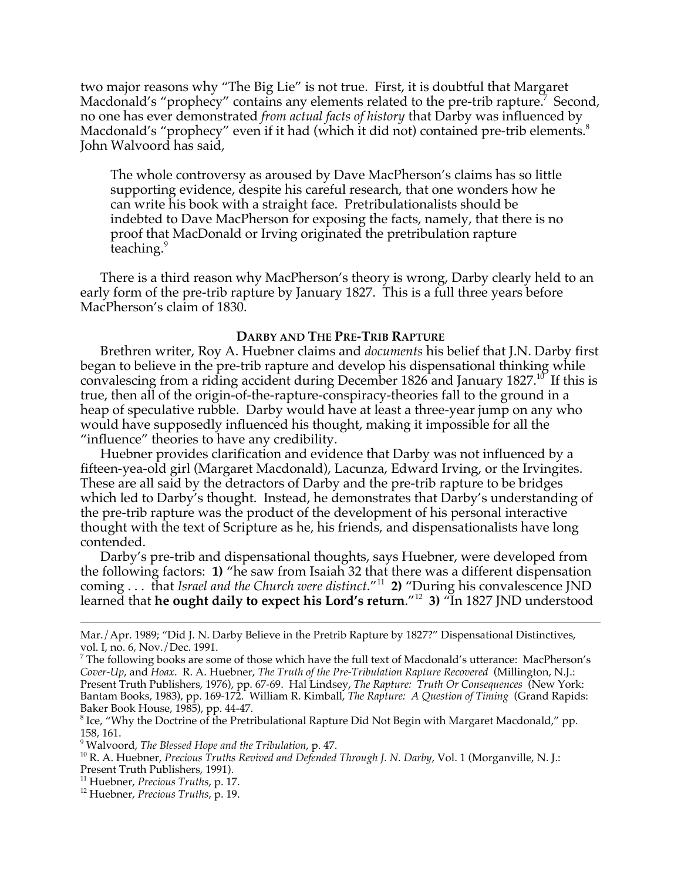two major reasons why "The Big Lie" is not true. First, it is doubtful that Margaret Macdonald's "prophecy" contains any elements related to the pre-trib rapture.<sup>7</sup> Second, no one has ever demonstrated *from actual facts of history* that Darby was influenced by Macdonald's "prophecy" even if it had (which it did not) contained pre-trib elements.<sup>8</sup> John Walvoord has said,

The whole controversy as aroused by Dave MacPherson's claims has so little supporting evidence, despite his careful research, that one wonders how he can write his book with a straight face. Pretribulationalists should be indebted to Dave MacPherson for exposing the facts, namely, that there is no proof that MacDonald or Irving originated the pretribulation rapture teaching.<sup>9</sup>

There is a third reason why MacPherson's theory is wrong, Darby clearly held to an early form of the pre-trib rapture by January 1827. This is a full three years before MacPherson's claim of 1830.

#### **DARBY AND THE PRE-TRIB RAPTURE**

Brethren writer, Roy A. Huebner claims and *documents* his belief that J.N. Darby first began to believe in the pre-trib rapture and develop his dispensational thinking while convalescing from a riding accident during December 1826 and January 1827.<sup>10</sup> If this is true, then all of the origin-of-the-rapture-conspiracy-theories fall to the ground in a heap of speculative rubble. Darby would have at least a three-year jump on any who would have supposedly influenced his thought, making it impossible for all the "influence" theories to have any credibility.

Huebner provides clarification and evidence that Darby was not influenced by a fifteen-yea-old girl (Margaret Macdonald), Lacunza, Edward Irving, or the Irvingites. These are all said by the detractors of Darby and the pre-trib rapture to be bridges which led to Darby's thought. Instead, he demonstrates that Darby's understanding of the pre-trib rapture was the product of the development of his personal interactive thought with the text of Scripture as he, his friends, and dispensationalists have long contended.

Darby's pre-trib and dispensational thoughts, says Huebner, were developed from the following factors: **1)** "he saw from Isaiah 32 that there was a different dispensation coming . . . that *Israel and the Church were distinct*."<sup>11</sup> **2)** "During his convalescence JND learned that **he ought daily to expect his Lord's return**."<sup>12</sup> **3)** "In 1827 JND understood

Mar./Apr. 1989; "Did J. N. Darby Believe in the Pretrib Rapture by 1827?" Dispensational Distinctives, vol. I, no. 6, Nov./Dec. 1991.

 $^7$  The following books are some of those which have the full text of Macdonald's utterance: MacPherson's *Cover-Up*, and *Hoax*. R. A. Huebner, *The Truth of the Pre-Tribulation Rapture Recovered* (Millington, N.J.: Present Truth Publishers, 1976), pp. 67-69. Hal Lindsey, *The Rapture: Truth Or Consequences* (New York: Bantam Books, 1983), pp. 169-172. William R. Kimball, *The Rapture: A Question of Timing* (Grand Rapids: Baker Book House, 1985), pp. 44-47.

 $^8$  Ice, "Why the Doctrine of the Pretribulational Rapture Did Not Begin with Margaret Macdonald," pp. 158, 161.

<sup>&</sup>lt;sup>9</sup> Walvoord, *The Blessed Hope and the Tribulation*, p. 47.<br><sup>10</sup> R A Hugbpor, *Precious Truths Revived and Defended* 

<sup>&</sup>lt;sup>10</sup> R. A. Huebner, *Precious Truths Revived and Defended Through J. N. Darby*, Vol. 1 (Morganville, N. J.: Present Truth Publishers, 1991).

<sup>&</sup>lt;sup>11</sup> Huebner, *Precious Truths*, p. 17.<br><sup>12</sup> Huebner, *Precious Truths*, p. 19.

Huebner, *Precious Truths*, p. 19.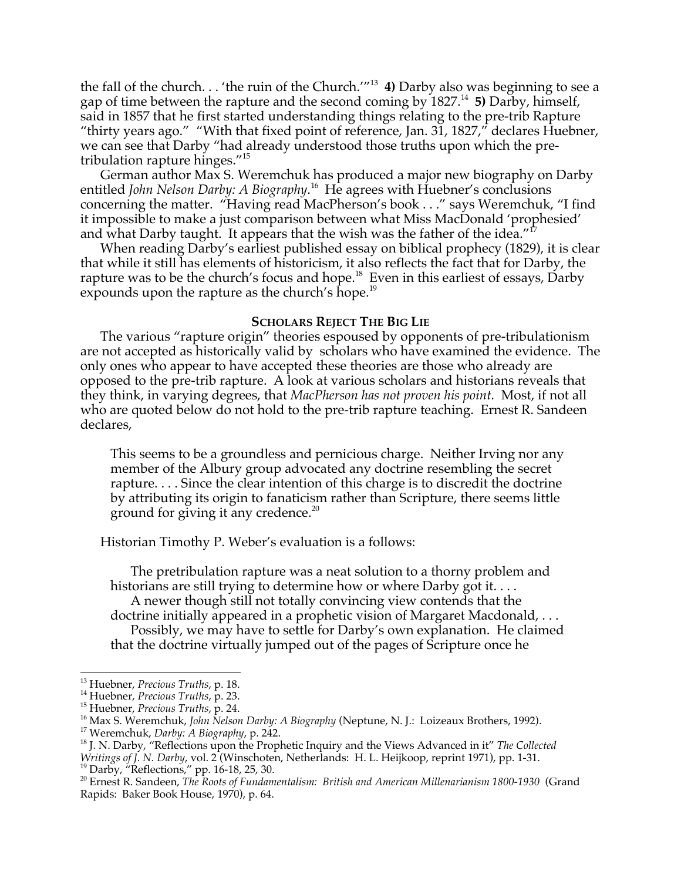the fall of the church. . . 'the ruin of the Church.'"13 **4)** Darby also was beginning to see a gap of time between the rapture and the second coming by 1827.<sup>14</sup> **5)** Darby, himself, said in 1857 that he first started understanding things relating to the pre-trib Rapture "thirty years ago." "With that fixed point of reference, Jan.  $3\overline{1}$ , 1827," declares Huebner, we can see that Darby "had already understood those truths upon which the pretribulation rapture hinges."15

German author Max S. Weremchuk has produced a major new biography on Darby entitled *John Nelson Darby: A Biography*.<sup>16</sup> He agrees with Huebner's conclusions concerning the matter. "Having read MacPherson's book . . ." says Weremchuk, "I find it impossible to make a just comparison between what Miss MacDonald 'prophesied' and what Darby taught. It appears that the wish was the father of the idea."<sup>I</sup>

When reading Darby's earliest published essay on biblical prophecy (1829), it is clear that while it still has elements of historicism, it also reflects the fact that for Darby, the rapture was to be the church's focus and hope. $^{18}$  Even in this earliest of essays, Darby expounds upon the rapture as the church's hope.<sup>19</sup>

#### **SCHOLARS REJECT THE BIG LIE**

The various "rapture origin" theories espoused by opponents of pre-tribulationism are not accepted as historically valid by scholars who have examined the evidence. The only ones who appear to have accepted these theories are those who already are opposed to the pre-trib rapture. A look at various scholars and historians reveals that they think, in varying degrees, that *MacPherson has not proven his point.* Most, if not all who are quoted below do not hold to the pre-trib rapture teaching. Ernest R. Sandeen declares,

This seems to be a groundless and pernicious charge. Neither Irving nor any member of the Albury group advocated any doctrine resembling the secret rapture. . . . Since the clear intention of this charge is to discredit the doctrine by attributing its origin to fanaticism rather than Scripture, there seems little ground for giving it any credence.<sup>20</sup>

Historian Timothy P. Weber's evaluation is a follows:

The pretribulation rapture was a neat solution to a thorny problem and historians are still trying to determine how or where Darby got it....

A newer though still not totally convincing view contends that the doctrine initially appeared in a prophetic vision of Margaret Macdonald, . . .

Possibly, we may have to settle for Darby's own explanation. He claimed that the doctrine virtually jumped out of the pages of Scripture once he

 $\frac{1}{13}$ <sup>13</sup> Huebner*, Precious Truths,* p. 18.<br><sup>14</sup> Huebpor, *Precious Truths*, p. 23.

<sup>&</sup>lt;sup>14</sup> Huebner, *Precious Truths*, p. 23.

<sup>&</sup>lt;sup>15</sup> Huebner, *Precious Truths*, p. 24.

<sup>&</sup>lt;sup>16</sup> Max S. Weremchuk, *John Nelson Darby: A Biography* (Neptune, N. J.: Loizeaux Brothers, 1992).

<sup>&</sup>lt;sup>17</sup> Weremchuk, *Darby: A Biography*, p. 242.

<sup>&</sup>lt;sup>18</sup> J. N. Darby, "Reflections upon the Prophetic Inquiry and the Views Advanced in it" *The Collected* Writings of J. N. Darby, vol. 2 (Winschoten, Netherlands: H. L. Heijkoop, reprint 1971), pp. 1-31.<br><sup>19</sup> Darby, "Reflections," pp. 16-18, 25, 30.

<sup>20</sup> Ernest R. Sandeen, *The Roots of Fundamentalism: British and American Millenarianism 1800-1930* (Grand Rapids: Baker Book House, 1970), p. 64.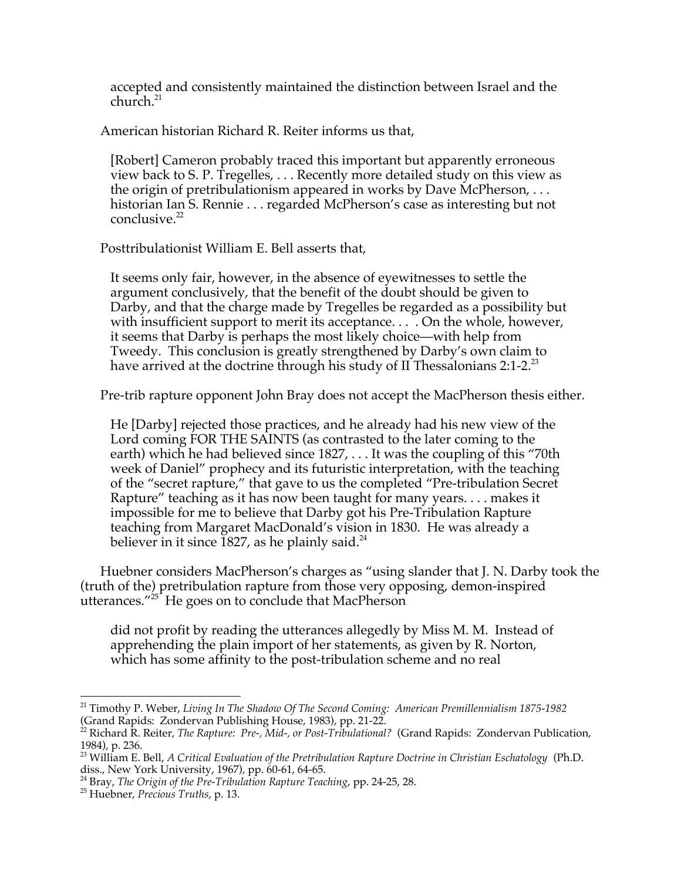accepted and consistently maintained the distinction between Israel and the  $church.<sup>21</sup>$ 

American historian Richard R. Reiter informs us that,

[Robert] Cameron probably traced this important but apparently erroneous view back to S. P. Tregelles, . . . Recently more detailed study on this view as the origin of pretribulationism appeared in works by Dave McPherson, . . . historian Ian S. Rennie . . . regarded McPherson's case as interesting but not conclusive. $22$ 

Posttribulationist William E. Bell asserts that,

It seems only fair, however, in the absence of eyewitnesses to settle the argument conclusively, that the benefit of the doubt should be given to Darby, and that the charge made by Tregelles be regarded as a possibility but with insufficient support to merit its acceptance. . . . On the whole, however, it seems that Darby is perhaps the most likely choice—with help from Tweedy. This conclusion is greatly strengthened by Darby's own claim to have arrived at the doctrine through his study of II Thessalonians  $2:1-2.^{23}$ 

Pre-trib rapture opponent John Bray does not accept the MacPherson thesis either.

He [Darby] rejected those practices, and he already had his new view of the Lord coming FOR THE SAINTS (as contrasted to the later coming to the earth) which he had believed since 1827, . . . It was the coupling of this "70th week of Daniel" prophecy and its futuristic interpretation, with the teaching of the "secret rapture," that gave to us the completed "Pre-tribulation Secret Rapture" teaching as it has now been taught for many years. . . . makes it impossible for me to believe that Darby got his Pre-Tribulation Rapture teaching from Margaret MacDonald's vision in 1830. He was already a believer in it since 1827, as he plainly said.<sup>24</sup>

Huebner considers MacPherson's charges as "using slander that J. N. Darby took the (truth of the) pretribulation rapture from those very opposing, demon-inspired utterances."25 He goes on to conclude that MacPherson

did not profit by reading the utterances allegedly by Miss M. M. Instead of apprehending the plain import of her statements, as given by R. Norton, which has some affinity to the post-tribulation scheme and no real

 <sup>21</sup> Timothy P. Weber, *Living In The Shadow Of The Second Coming: American Premillennialism 1875-1982* (Grand Rapids: Zondervan Publishing House, 1983), pp. 21-22.

<sup>22</sup> Richard R. Reiter, *The Rapture: Pre-, Mid-, or Post-Tribulational?* (Grand Rapids: Zondervan Publication, 1984), p. 236.

<sup>23</sup> William E. Bell, *A Critical Evaluation of the Pretribulation Rapture Doctrine in Christian Eschatology* (Ph.D.

diss., New York University, 1967), pp. 60-61, 64-65.<br><sup>24</sup> Bray, *The Origin of the Pre-Tribulation Rapture Teaching,* pp. 24-25, 28.<br><sup>25</sup> Huobpor, *Precious Truths*, p. 13.

Huebner, *Precious Truths*, p. 13.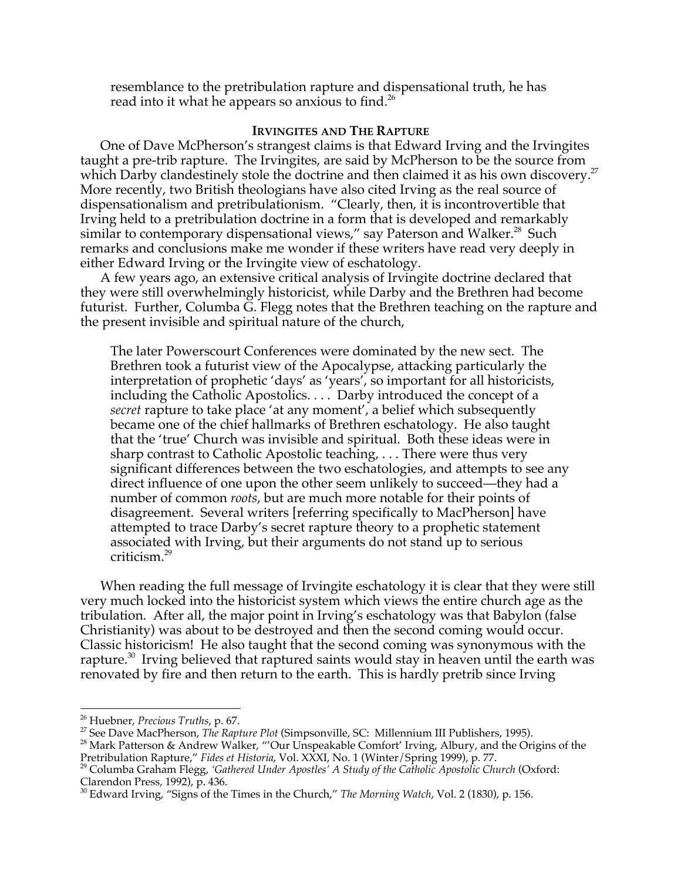resemblance to the pretribulation rapture and dispensational truth, he has read into it what he appears so anxious to find.<sup>26</sup>

### **IRVINGITES AND THE RAPTURE**

One of Dave McPherson's strangest claims is that Edward Irving and the Irvingites taught a pre-trib rapture. The Irvingites, are said by McPherson to be the source from which Darby clandestinely stole the doctrine and then claimed it as his own discovery.<sup>27</sup> More recently, two British theologians have also cited Irving as the real source of dispensationalism and pretribulationism. "Clearly, then, it is incontrovertible that Irving held to a pretribulation doctrine in a form that is developed and remarkably similar to contemporary dispensational views," say Paterson and Walker.<sup>28</sup> Such remarks and conclusions make me wonder if these writers have read very deeply in either Edward Irving or the Irvingite view of eschatology.

A few years ago, an extensive critical analysis of Irvingite doctrine declared that they were still overwhelmingly historicist, while Darby and the Brethren had become futurist. Further, Columba G. Flegg notes that the Brethren teaching on the rapture and the present invisible and spiritual nature of the church,

The later Powerscourt Conferences were dominated by the new sect. The Brethren took a futurist view of the Apocalypse, attacking particularly the interpretation of prophetic 'days' as 'years', so important for all historicists, including the Catholic Apostolics. . . . Darby introduced the concept of a *secret* rapture to take place 'at any moment', a belief which subsequently became one of the chief hallmarks of Brethren eschatology. He also taught that the 'true' Church was invisible and spiritual. Both these ideas were in sharp contrast to Catholic Apostolic teaching, . . . There were thus very significant differences between the two eschatologies, and attempts to see any direct influence of one upon the other seem unlikely to succeed—they had a number of common *roots*, but are much more notable for their points of disagreement. Several writers [referring specifically to MacPherson] have attempted to trace Darby's secret rapture theory to a prophetic statement associated with Irving, but their arguments do not stand up to serious criticism.<sup>29</sup>

When reading the full message of Irvingite eschatology it is clear that they were still very much locked into the historicist system which views the entire church age as the tribulation. After all, the major point in Irving's eschatology was that Babylon (false Christianity) was about to be destroyed and then the second coming would occur. Classic historicism! He also taught that the second coming was synonymous with the rapture. $^{30}$  Irving believed that raptured saints would stay in heaven until the earth was renovated by fire and then return to the earth. This is hardly pretrib since Irving

 $\frac{1}{26}$ <sup>26</sup> Huebner*, Precious Truths,* p. 67.<br><sup>27</sup> Soo Davo MacPhorson, *The Ra*n

<sup>&</sup>lt;sup>27</sup> See Dave MacPherson, *The Rapture Plot* (Simpsonville, SC: Millennium III Publishers, 1995).

<sup>&</sup>lt;sup>28</sup> Mark Patterson & Andrew Walker, "'Our Unspeakable Comfort' Irving, Albury, and the Origins of the

Pretribulation Rapture*," Fides et Historia,* Vol. XXXI, No. 1 (Winter/Spring 1999), p. 77.<br><sup>29</sup> Columba Graham Flegg, *'Gathered Under Apostles' A Study of the Catholic Apostolic Church* (Oxford: Clarendon Press, 1992), p. 436.

<sup>30</sup> Edward Irving, "Signs of the Times in the Church," *The Morning Watch*, Vol. 2 (1830), p. 156.